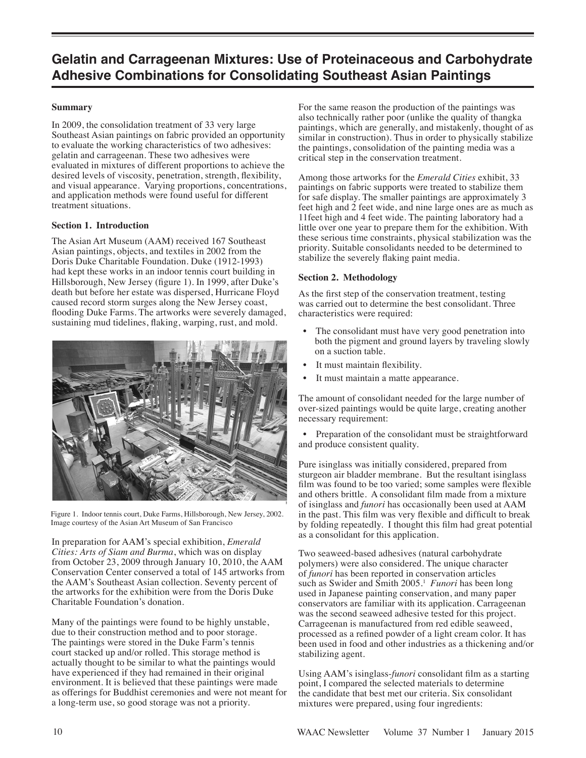# **Gelatin and Carrageenan Mixtures: Use of Proteinaceous and Carbohydrate Adhesive Combinations for Consolidating Southeast Asian Paintings**

## **Summary**

In 2009, the consolidation treatment of 33 very large Southeast Asian paintings on fabric provided an opportunity to evaluate the working characteristics of two adhesives: gelatin and carrageenan. These two adhesives were evaluated in mixtures of different proportions to achieve the desired levels of viscosity, penetration, strength, flexibility, and visual appearance. Varying proportions, concentrations, and application methods were found useful for different treatment situations.

## **Section 1. Introduction**

The Asian Art Museum (AAM) received 167 Southeast Asian paintings, objects, and textiles in 2002 from the Doris Duke Charitable Foundation. Duke (1912-1993) had kept these works in an indoor tennis court building in Hillsborough, New Jersey (figure 1). In 1999, after Duke's death but before her estate was dispersed, Hurricane Floyd caused record storm surges along the New Jersey coast, flooding Duke Farms. The artworks were severely damaged, sustaining mud tidelines, flaking, warping, rust, and mold.



Figure 1. Indoor tennis court, Duke Farms, Hillsborough, New Jersey, 2002. Image courtesy of the Asian Art Museum of San Francisco

In preparation for AAM's special exhibition, *Emerald Cities: Arts of Siam and Burma*, which was on display from October 23, 2009 through January 10, 2010, the AAM Conservation Center conserved a total of 145 artworks from the AAM's Southeast Asian collection. Seventy percent of the artworks for the exhibition were from the Doris Duke Charitable Foundation's donation.

Many of the paintings were found to be highly unstable, due to their construction method and to poor storage. The paintings were stored in the Duke Farm's tennis court stacked up and/or rolled. This storage method is actually thought to be similar to what the paintings would have experienced if they had remained in their original environment. It is believed that these paintings were made as offerings for Buddhist ceremonies and were not meant for a long-term use, so good storage was not a priority.

For the same reason the production of the paintings was also technically rather poor (unlike the quality of thangka paintings, which are generally, and mistakenly, thought of as similar in construction). Thus in order to physically stabilize the paintings, consolidation of the painting media was a critical step in the conservation treatment.

Among those artworks for the *Emerald Cities* exhibit, 33 paintings on fabric supports were treated to stabilize them for safe display. The smaller paintings are approximately 3 feet high and 2 feet wide, and nine large ones are as much as 11feet high and 4 feet wide. The painting laboratory had a little over one year to prepare them for the exhibition. With these serious time constraints, physical stabilization was the priority. Suitable consolidants needed to be determined to stabilize the severely flaking paint media.

## **Section 2. Methodology**

As the first step of the conservation treatment, testing was carried out to determine the best consolidant. Three characteristics were required:

- The consolidant must have very good penetration into both the pigment and ground layers by traveling slowly on a suction table.
- It must maintain flexibility.
- It must maintain a matte appearance.

The amount of consolidant needed for the large number of over-sized paintings would be quite large, creating another necessary requirement:

Preparation of the consolidant must be straightforward and produce consistent quality.

Pure isinglass was initially considered, prepared from sturgeon air bladder membrane. But the resultant isinglass film was found to be too varied; some samples were flexible and others brittle. A consolidant film made from a mixture of isinglass and *funori* has occasionally been used at AAM in the past. This film was very flexible and difficult to break by folding repeatedly. I thought this film had great potential as a consolidant for this application.

Two seaweed-based adhesives (natural carbohydrate polymers) were also considered. The unique character of *funori* has been reported in conservation articles such as Swider and Smith 2005.<sup>1</sup> Funori has been long used in Japanese painting conservation, and many paper conservators are familiar with its application. Carrageenan was the second seaweed adhesive tested for this project. Carrageenan is manufactured from red edible seaweed, processed as a refined powder of a light cream color. It has been used in food and other industries as a thickening and/or stabilizing agent.

Using AAM's isinglass-*funori* consolidant film as a starting point, I compared the selected materials to determine the candidate that best met our criteria. Six consolidant mixtures were prepared, using four ingredients: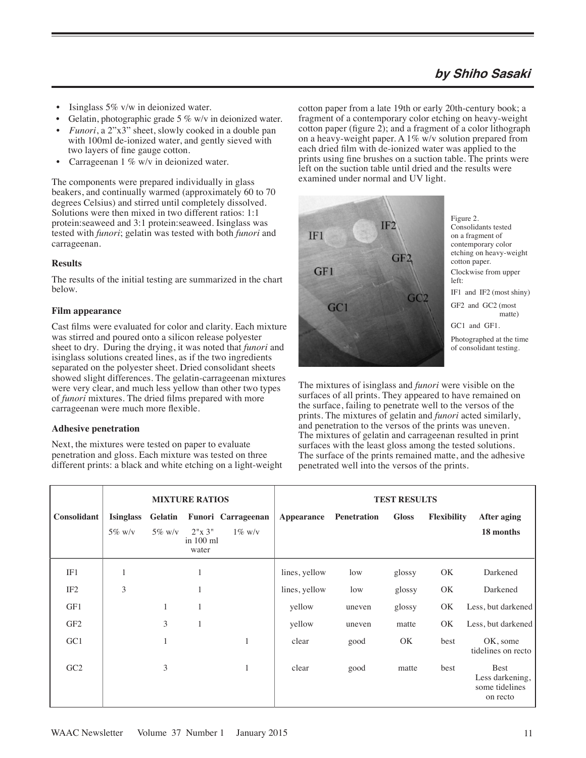## **by Shiho Sasaki**

- Isinglass 5% v/w in deionized water.
- Gelatin, photographic grade  $5\%$  w/v in deionized water.
- *Funori*, a 2"x3" sheet, slowly cooked in a double pan with 100ml de-ionized water, and gently sieved with two layers of fine gauge cotton.
- Carrageenan 1 % w/v in deionized water.

The components were prepared individually in glass beakers, and continually warmed (approximately 60 to 70 degrees Celsius) and stirred until completely dissolved. Solutions were then mixed in two different ratios: 1:1 protein:seaweed and 3:1 protein:seaweed. Isinglass was tested with *funori*; gelatin was tested with both *funori* and carrageenan.

#### **Results**

The results of the initial testing are summarized in the chart below.

#### **Film appearance**

Cast films were evaluated for color and clarity. Each mixture was stirred and poured onto a silicon release polyester sheet to dry. During the drying, it was noted that *funori* and isinglass solutions created lines, as if the two ingredients separated on the polyester sheet. Dried consolidant sheets showed slight differences. The gelatin-carrageenan mixtures were very clear, and much less yellow than other two types of *funori* mixtures. The dried films prepared with more carrageenan were much more flexible.

#### **Adhesive penetration**

Next, the mixtures were tested on paper to evaluate penetration and gloss. Each mixture was tested on three different prints: a black and white etching on a light-weight cotton paper from a late 19th or early 20th-century book; a fragment of a contemporary color etching on heavy-weight cotton paper (figure 2); and a fragment of a color lithograph on a heavy-weight paper. A  $1\%$  w/v solution prepared from each dried film with de-ionized water was applied to the prints using fine brushes on a suction table. The prints were left on the suction table until dried and the results were examined under normal and UV light.



Figure 2. Consolidants tested on a fragment of contemporary color etching on heavy-weight cotton paper. Clockwise from upper left: IF1 and IF2 (most shiny) GF2 and GC2 (most matte) GC1 and GF1. Photographed at the time of consolidant testing.

The mixtures of isinglass and *funori* were visible on the surfaces of all prints. They appeared to have remained on the surface, failing to penetrate well to the versos of the prints. The mixtures of gelatin and *funori* acted similarly, and penetration to the versos of the prints was uneven. The mixtures of gelatin and carrageenan resulted in print surfaces with the least gloss among the tested solutions. The surface of the prints remained matte, and the adhesive penetrated well into the versos of the prints.

|                 | <b>MIXTURE RATIOS</b> |              |                                |                           | <b>TEST RESULTS</b> |             |              |                    |                                                              |
|-----------------|-----------------------|--------------|--------------------------------|---------------------------|---------------------|-------------|--------------|--------------------|--------------------------------------------------------------|
| Consolidant     | <b>Isinglass</b>      | Gelatin      |                                | <b>Funori Carrageenan</b> | Appearance          | Penetration | <b>Gloss</b> | <b>Flexibility</b> | <b>After aging</b>                                           |
|                 | $5\%$ w/v             | $5\%$ w/v    | 2"x 3"<br>in $100$ ml<br>water | $1\%$ w/v                 |                     |             |              |                    | 18 months                                                    |
| IF1             | 1                     |              | 1                              |                           | lines, yellow       | low         | glossy       | OK                 | Darkened                                                     |
| IF <sub>2</sub> | 3                     |              | 1                              |                           | lines, yellow       | low         | glossy       | OK                 | Darkened                                                     |
| GF1             |                       | $\mathbf{1}$ | 1                              |                           | yellow              | uneven      | glossy       | OK.                | Less, but darkened                                           |
| GF <sub>2</sub> |                       | 3            | 1                              |                           | yellow              | uneven      | matte        | OK.                | Less, but darkened                                           |
| GC1             |                       | 1            |                                | $\mathbf{1}$              | clear               | good        | OK           | best               | OK, some<br>tidelines on recto                               |
| GC2             |                       | 3            |                                | $\mathbf{1}$              | clear               | good        | matte        | best               | <b>Best</b><br>Less darkening,<br>some tidelines<br>on recto |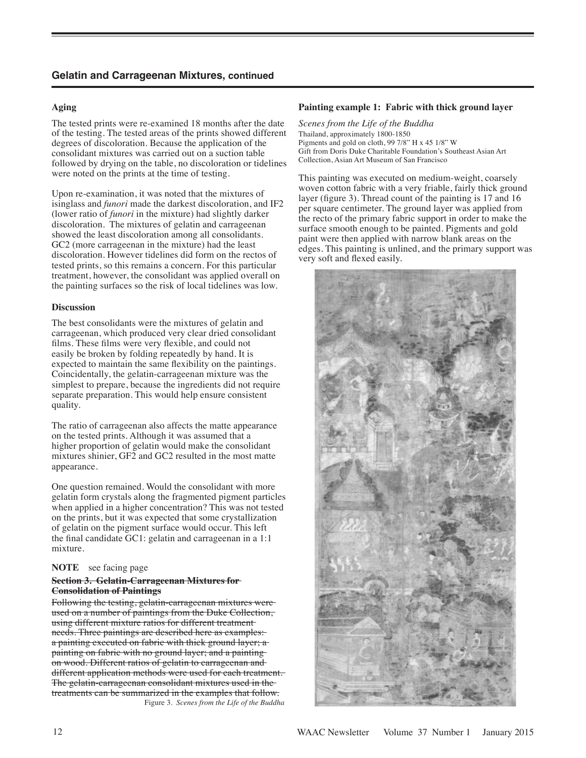## **Aging**

The tested prints were re-examined 18 months after the date of the testing. The tested areas of the prints showed different degrees of discoloration. Because the application of the consolidant mixtures was carried out on a suction table followed by drying on the table, no discoloration or tidelines were noted on the prints at the time of testing.

Upon re-examination, it was noted that the mixtures of isinglass and *funori* made the darkest discoloration, and IF2 (lower ratio of *funori* in the mixture) had slightly darker discoloration. The mixtures of gelatin and carrageenan showed the least discoloration among all consolidants. GC2 (more carrageenan in the mixture) had the least discoloration. However tidelines did form on the rectos of tested prints, so this remains a concern. For this particular treatment, however, the consolidant was applied overall on the painting surfaces so the risk of local tidelines was low.

## **Discussion**

The best consolidants were the mixtures of gelatin and carrageenan, which produced very clear dried consolidant films. These films were very flexible, and could not easily be broken by folding repeatedly by hand. It is expected to maintain the same flexibility on the paintings. Coincidentally, the gelatin-carrageenan mixture was the simplest to prepare, because the ingredients did not require separate preparation. This would help ensure consistent quality.

The ratio of carrageenan also affects the matte appearance on the tested prints. Although it was assumed that a higher proportion of gelatin would make the consolidant mixtures shinier, GF2 and GC2 resulted in the most matte appearance.

One question remained. Would the consolidant with more gelatin form crystals along the fragmented pigment particles when applied in a higher concentration? This was not tested on the prints, but it was expected that some crystallization of gelatin on the pigment surface would occur. This left the final candidate GC1: gelatin and carrageenan in a 1:1 mixture.

## **NOTE** see facing page

#### **Section 3. Gelatin-Carrageenan Mixtures for Consolidation of Paintings**

Following the testing, gelatin-carrageenan mixtures were used on a number of paintings from the Duke Collection, using different mixture ratios for different treatment needs. Three paintings are described here as examples: a painting executed on fabric with thick ground layer; a painting on fabric with no ground layer; and a painting on wood. Different ratios of gelatin to carrageenan and different application methods were used for each treatment. The gelatin-carrageenan consolidant mixtures used in the treatments can be summarized in the examples that follow. Figure 3. *Scenes from the Life of the Buddha* 

#### **Painting example 1: Fabric with thick ground layer**

*Scenes from the Life of the Buddha*  Thailand, approximately 1800-1850 Pigments and gold on cloth, 99 7/8" H x 45 1/8" W Gift from Doris Duke Charitable Foundation's Southeast Asian Art Collection, Asian Art Museum of San Francisco

This painting was executed on medium-weight, coarsely woven cotton fabric with a very friable, fairly thick ground layer (figure 3). Thread count of the painting is 17 and 16 per square centimeter. The ground layer was applied from the recto of the primary fabric support in order to make the surface smooth enough to be painted. Pigments and gold paint were then applied with narrow blank areas on the edges. This painting is unlined, and the primary support was very soft and flexed easily.

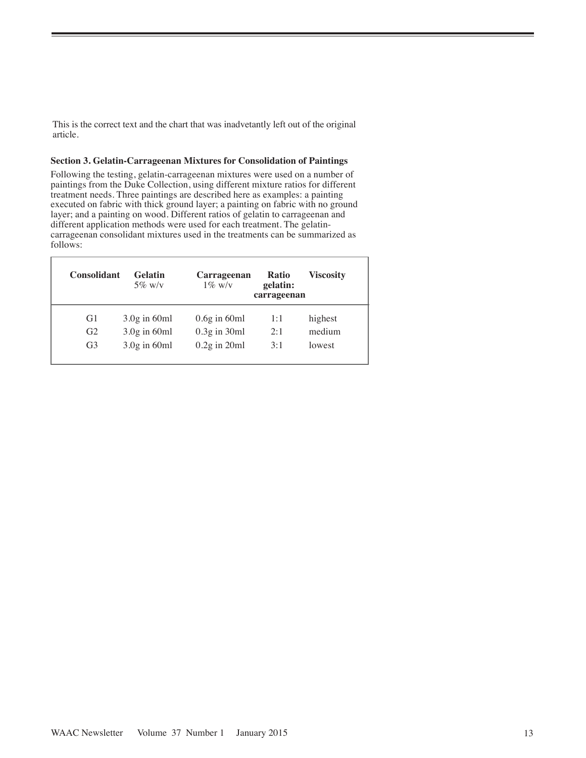This is the correct text and the chart that was inadvetantly left out of the original article.

#### **Section 3. Gelatin-Carrageenan Mixtures for Consolidation of Paintings**

Following the testing, gelatin-carrageenan mixtures were used on a number of paintings from the Duke Collection, using different mixture ratios for different treatment needs. Three paintings are described here as examples: a painting executed on fabric with thick ground layer; a painting on fabric with no ground layer; and a painting on wood. Different ratios of gelatin to carrageenan and different application methods were used for each treatment. The gelatincarrageenan consolidant mixtures used in the treatments can be summarized as follows:

| <b>Consolidant</b> | <b>Gelatin</b><br>$5\%$ w/v | Carrageenan<br>$1\%$ w/v | Ratio<br>gelatin:<br>carrageenan | <b>Viscosity</b> |
|--------------------|-----------------------------|--------------------------|----------------------------------|------------------|
| G1                 | $3.0g$ in 60ml              | $0.6g$ in 60ml           | 1:1                              | highest          |
| G <sub>2</sub>     | $3.0g$ in 60ml              | $0.3g$ in $30ml$         | 2:1                              | medium           |
| G <sub>3</sub>     | $3.0g$ in 60ml              | $0.2g$ in $20ml$         | 3:1                              | lowest           |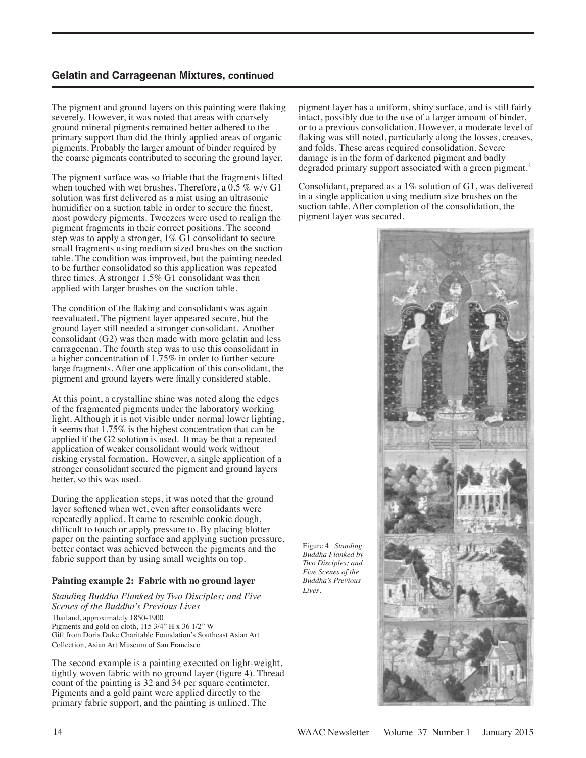## **Gelatin and Carrageenan Mixtures, continued**

The pigment and ground layers on this painting were flaking severely. However, it was noted that areas with coarsely ground mineral pigments remained better adhered to the primary support than did the thinly applied areas of organic pigments. Probably the larger amount of binder required by the coarse pigments contributed to securing the ground layer.

The pigment surface was so friable that the fragments lifted when touched with wet brushes. Therefore, a 0.5 % w/v G1 solution was first delivered as a mist using an ultrasonic humidifier on a suction table in order to secure the finest, most powdery pigments. Tweezers were used to realign the pigment fragments in their correct positions. The second step was to apply a stronger, 1% G1 consolidant to secure small fragments using medium sized brushes on the suction table. The condition was improved, but the painting needed to be further consolidated so this application was repeated three times. A stronger 1.5% G1 consolidant was then applied with larger brushes on the suction table.

The condition of the flaking and consolidants was again reevaluated. The pigment layer appeared secure, but the ground layer still needed a stronger consolidant. Another consolidant (G2) was then made with more gelatin and less carrageenan. The fourth step was to use this consolidant in a higher concentration of 1.75% in order to further secure large fragments. After one application of this consolidant, the pigment and ground layers were finally considered stable.

At this point, a crystalline shine was noted along the edges of the fragmented pigments under the laboratory working light. Although it is not visible under normal lower lighting, it seems that 1.75% is the highest concentration that can be applied if the G2 solution is used. It may be that a repeated application of weaker consolidant would work without risking crystal formation. However, a single application of a stronger consolidant secured the pigment and ground layers better, so this was used.

During the application steps, it was noted that the ground layer softened when wet, even after consolidants were repeatedly applied. It came to resemble cookie dough, difficult to touch or apply pressure to. By placing blotter paper on the painting surface and applying suction pressure, better contact was achieved between the pigments and the fabric support than by using small weights on top.

## **Painting example 2: Fabric with no ground layer**

*Standing Buddha Flanked by Two Disciples; and Five Scenes of the Buddha's Previous Lives*  Thailand, approximately 1850-1900 Pigments and gold on cloth, 115 3/4" H x 36 1/2" W Gift from Doris Duke Charitable Foundation's Southeast Asian Art Collection, Asian Art Museum of San Francisco

The second example is a painting executed on light-weight, tightly woven fabric with no ground layer (figure 4). Thread count of the painting is 32 and 34 per square centimeter. Pigments and a gold paint were applied directly to the primary fabric support, and the painting is unlined. The

pigment layer has a uniform, shiny surface, and is still fairly intact, possibly due to the use of a larger amount of binder, or to a previous consolidation. However, a moderate level of flaking was still noted, particularly along the losses, creases, and folds. These areas required consolidation. Severe damage is in the form of darkened pigment and badly degraded primary support associated with a green pigment.<sup>2</sup>

Consolidant, prepared as a 1% solution of G1, was delivered in a single application using medium size brushes on the suction table. After completion of the consolidation, the pigment layer was secured.

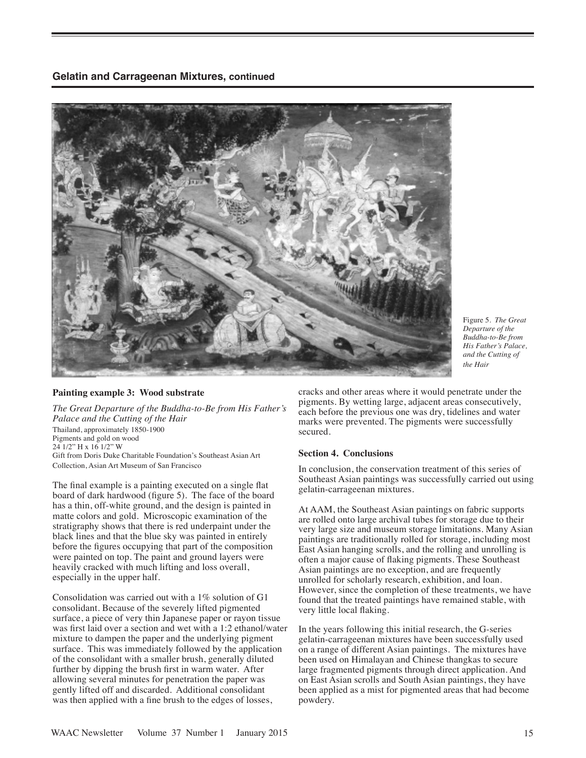**Gelatin and Carrageenan Mixtures, continued**



Figure 5. *The Great Departure of the Buddha-to-Be from His Father's Palace, and the Cutting of the Hair* 

#### **Painting example 3: Wood substrate**

*The Great Departure of the Buddha-to-Be from His Father's Palace and the Cutting of the Hair*  Thailand, approximately 1850-1900 Pigments and gold on wood 24 1/2" H x 16 1/2" W Gift from Doris Duke Charitable Foundation's Southeast Asian Art Collection, Asian Art Museum of San Francisco

The final example is a painting executed on a single flat board of dark hardwood (figure 5). The face of the board has a thin, off-white ground, and the design is painted in matte colors and gold. Microscopic examination of the stratigraphy shows that there is red underpaint under the black lines and that the blue sky was painted in entirely before the figures occupying that part of the composition were painted on top. The paint and ground layers were heavily cracked with much lifting and loss overall, especially in the upper half.

Consolidation was carried out with a 1% solution of G1 consolidant. Because of the severely lifted pigmented surface, a piece of very thin Japanese paper or rayon tissue was first laid over a section and wet with a 1:2 ethanol/water mixture to dampen the paper and the underlying pigment surface. This was immediately followed by the application of the consolidant with a smaller brush, generally diluted further by dipping the brush first in warm water. After allowing several minutes for penetration the paper was gently lifted off and discarded. Additional consolidant was then applied with a fine brush to the edges of losses,

cracks and other areas where it would penetrate under the pigments. By wetting large, adjacent areas consecutively, each before the previous one was dry, tidelines and water marks were prevented. The pigments were successfully secured.

#### **Section 4. Conclusions**

In conclusion, the conservation treatment of this series of Southeast Asian paintings was successfully carried out using gelatin-carrageenan mixtures.

At AAM, the Southeast Asian paintings on fabric supports are rolled onto large archival tubes for storage due to their very large size and museum storage limitations. Many Asian paintings are traditionally rolled for storage, including most East Asian hanging scrolls, and the rolling and unrolling is often a major cause of flaking pigments. These Southeast Asian paintings are no exception, and are frequently unrolled for scholarly research, exhibition, and loan. However, since the completion of these treatments, we have found that the treated paintings have remained stable, with very little local flaking.

In the years following this initial research, the G-series gelatin-carrageenan mixtures have been successfully used on a range of different Asian paintings. The mixtures have been used on Himalayan and Chinese thangkas to secure large fragmented pigments through direct application. And on East Asian scrolls and South Asian paintings, they have been applied as a mist for pigmented areas that had become powdery.